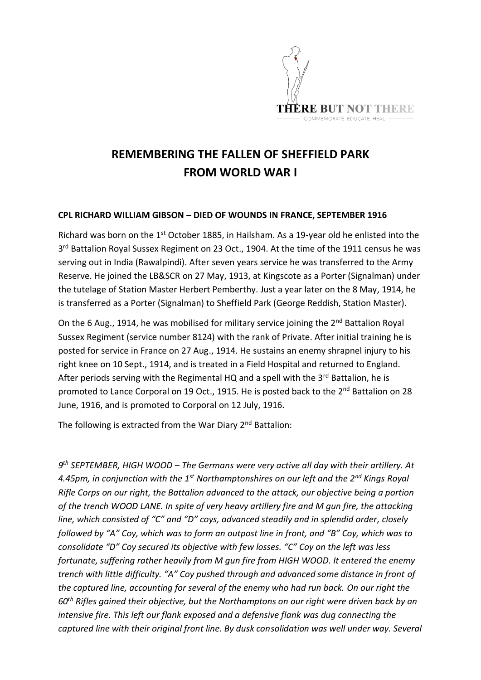

## **REMEMBERING THE FALLEN OF SHEFFIELD PARK FROM WORLD WAR I**

## **CPL RICHARD WILLIAM GIBSON – DIED OF WOUNDS IN FRANCE, SEPTEMBER 1916**

Richard was born on the 1<sup>st</sup> October 1885, in Hailsham. As a 19-year old he enlisted into the 3<sup>rd</sup> Battalion Royal Sussex Regiment on 23 Oct., 1904. At the time of the 1911 census he was serving out in India (Rawalpindi). After seven years service he was transferred to the Army Reserve. He joined the LB&SCR on 27 May, 1913, at Kingscote as a Porter (Signalman) under the tutelage of Station Master Herbert Pemberthy. Just a year later on the 8 May, 1914, he is transferred as a Porter (Signalman) to Sheffield Park (George Reddish, Station Master).

On the 6 Aug., 1914, he was mobilised for military service joining the 2<sup>nd</sup> Battalion Royal Sussex Regiment (service number 8124) with the rank of Private. After initial training he is posted for service in France on 27 Aug., 1914. He sustains an enemy shrapnel injury to his right knee on 10 Sept., 1914, and is treated in a Field Hospital and returned to England. After periods serving with the Regimental HQ and a spell with the  $3<sup>rd</sup>$  Battalion, he is promoted to Lance Corporal on 19 Oct., 1915. He is posted back to the 2<sup>nd</sup> Battalion on 28 June, 1916, and is promoted to Corporal on 12 July, 1916.

The following is extracted from the War Diary  $2^{nd}$  Battalion:

*9 th SEPTEMBER, HIGH WOOD – The Germans were very active all day with their artillery. At 4.45pm, in conjunction with the 1st Northamptonshires on our left and the 2nd Kings Royal Rifle Corps on our right, the Battalion advanced to the attack, our objective being a portion of the trench WOOD LANE. In spite of very heavy artillery fire and M gun fire, the attacking line, which consisted of "C" and "D" coys, advanced steadily and in splendid order, closely followed by "A" Coy, which was to form an outpost line in front, and "B" Coy, which was to consolidate "D" Coy secured its objective with few losses. "C" Coy on the left was less fortunate, suffering rather heavily from M gun fire from HIGH WOOD. It entered the enemy trench with little difficulty. "A" Coy pushed through and advanced some distance in front of the captured line, accounting for several of the enemy who had run back. On our right the 60th Rifles gained their objective, but the Northamptons on our right were driven back by an intensive fire. This left our flank exposed and a defensive flank was dug connecting the captured line with their original front line. By dusk consolidation was well under way. Several*